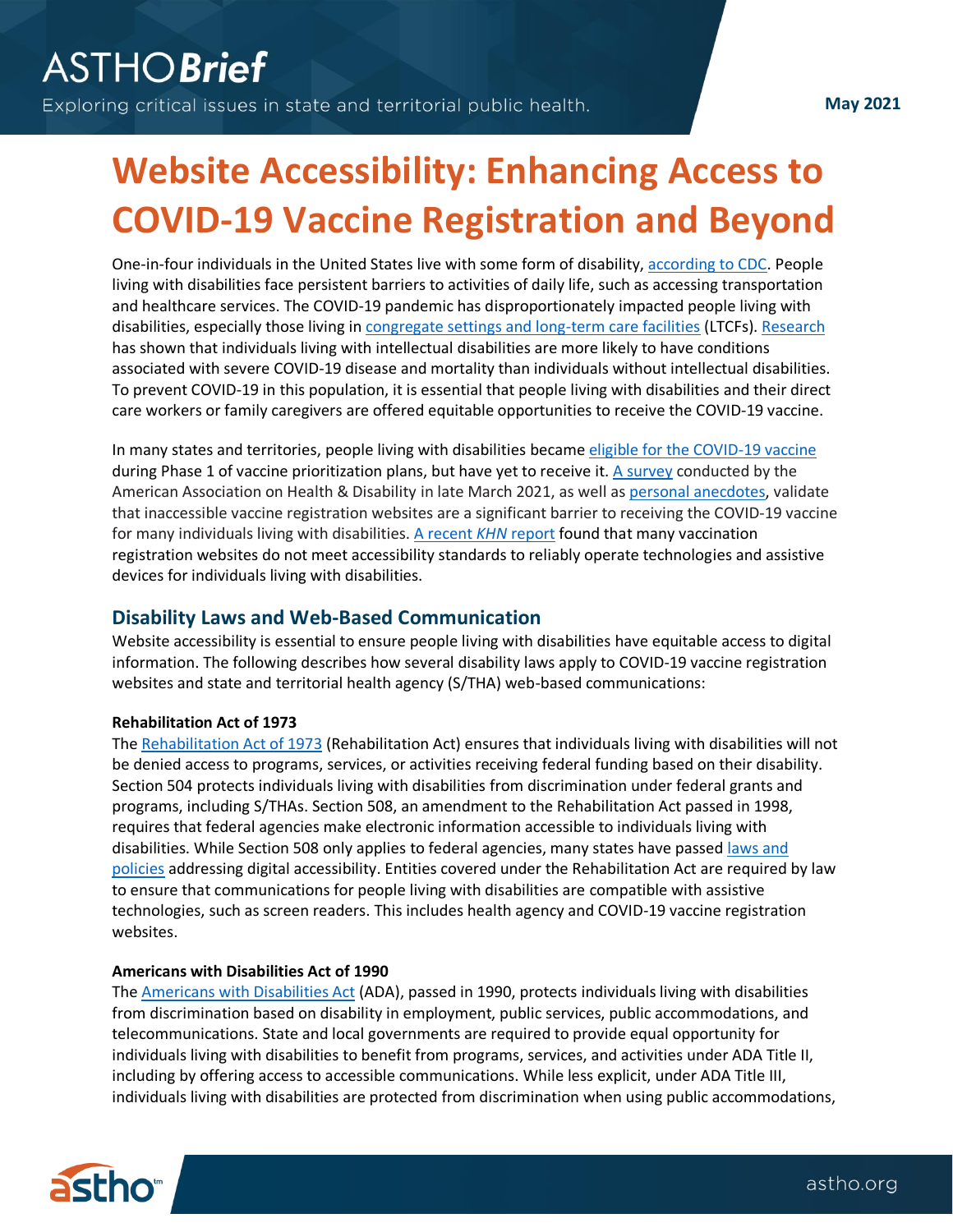# **Website Accessibility: Enhancing Access to COVID-19 Vaccine Registration and Beyond**

One-in-four individuals in the United States live with some form of disability[, according to CDC.](https://www.cdc.gov/ncbddd/disabilityandhealth/infographic-disability-impacts-all.html) People living with disabilities face persistent barriers to activities of daily life, such as accessing transportation and healthcare services. The COVID-19 pandemic has disproportionately impacted people living with disabilities, especially those living i[n congregate settings and long-term care facilities](https://www.kff.org/coronavirus-covid-19/issue-brief/state-covid-19-data-and-policy-actions/#longtermcare) (LTCFs)[. Research](https://catalyst.nejm.org/doi/full/10.1056/CAT.21.0051) has shown that individuals living with intellectual disabilities are more likely to have conditions associated with severe COVID-19 disease and mortality than individuals without intellectual disabilities. To prevent COVID-19 in this population, it is essential that people living with disabilities and their direct care workers or family caregivers are offered equitable opportunities to receive the COVID-19 vaccine.

In many states and territories, people living with disabilities became [eligible for the COVID-19 vaccine](https://disabilityhealth.jhu.edu/vaccine-2/) during Phase 1 of vaccine prioritization plans, but have yet to receive it. [A survey](https://aahd.us/wp-content/uploads/2021/04/COVID-19VaccineandDisabilitySurvey.pdf) conducted by the American Association on Health & Disability in late March 2021, as well a[s personal anecdotes,](https://www.nbcnews.com/business/consumer/blind-americans-face-roadblocks-booking-online-vaccine-appointments-n1260954) validate that inaccessible vaccine registration websites are a significant barrier to receiving the COVID-19 vaccine for many individuals living with disabilities. [A recent](https://khn.org/news/article/covid-vaccine-websites-violate-disability-laws-create-inequity-for-the-blind/) *KHN* report found that many vaccination registration websites do not meet accessibility standards to reliably operate technologies and assistive devices for individuals living with disabilities.

## **Disability Laws and Web-Based Communication**

Website accessibility is essential to ensure people living with disabilities have equitable access to digital information. The following describes how several disability laws apply to COVID-19 vaccine registration websites and state and territorial health agency (S/THA) web-based communications:

#### **Rehabilitation Act of 1973**

The [Rehabilitation Act of 1973](https://www2.ed.gov/policy/speced/leg/rehab/rehabilitation-act-of-1973-amended-by-wioa.pdf) (Rehabilitation Act) ensures that individuals living with disabilities will not be denied access to programs, services, or activities receiving federal funding based on their disability. Section 504 protects individuals living with disabilities from discrimination under federal grants and programs, including S/THAs. Section 508, an amendment to the Rehabilitation Act passed in 1998, requires that federal agencies make electronic information accessible to individuals living with disabilities. While Section 508 only applies to federal agencies, many states have passed [laws and](https://www.section508.gov/manage/laws-and-policies/state)  [policies](https://www.section508.gov/manage/laws-and-policies/state) addressing digital accessibility. Entities covered under the Rehabilitation Act are required by law to ensure that communications for people living with disabilities are compatible with assistive technologies, such as screen readers. This includes health agency and COVID-19 vaccine registration websites.

### **Americans with Disabilities Act of 1990**

The [Americans with Disabilities Act](https://www.ada.gov/pubs/adastatute08.htm) (ADA), passed in 1990, protects individuals living with disabilities from discrimination based on disability in employment, public services, public accommodations, and telecommunications. State and local governments are required to provide equal opportunity for individuals living with disabilities to benefit from programs, services, and activities under ADA Title II, including by offering access to accessible communications. While less explicit, under ADA Title III, individuals living with disabilities are protected from discrimination when using public accommodations,